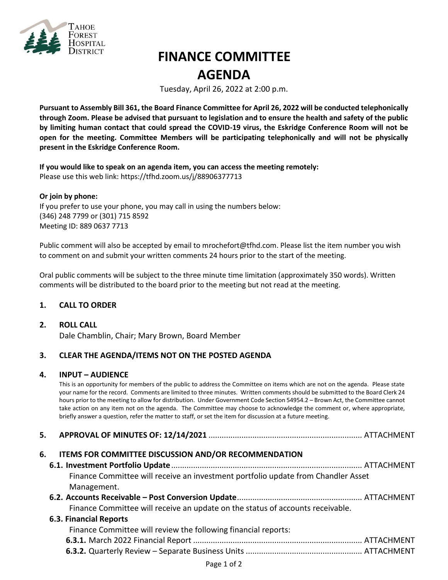

# **FINANCE COMMITTEE AGENDA**

Tuesday, April 26, 2022 at 2:00 p.m.

**Pursuant to Assembly Bill 361, the Board Finance Committee for April 26, 2022 will be conducted telephonically through Zoom. Please be advised that pursuant to legislation and to ensure the health and safety of the public by limiting human contact that could spread the COVID-19 virus, the Eskridge Conference Room will not be open for the meeting. Committee Members will be participating telephonically and will not be physically present in the Eskridge Conference Room.**

**If you would like to speak on an agenda item, you can access the meeting remotely:**  Please use this web link:<https://tfhd.zoom.us/j/88906377713>

#### **Or join by phone:**

If you prefer to use your phone, you may call in using the numbers below: (346) 248 7799 or (301) 715 8592 Meeting ID: 889 0637 7713

Public comment will also be accepted by email to mrochefort@tfhd.com. Please list the item number you wish to comment on and submit your written comments 24 hours prior to the start of the meeting.

Oral public comments will be subject to the three minute time limitation (approximately 350 words). Written comments will be distributed to the board prior to the meeting but not read at the meeting.

## **1. CALL TO ORDER**

#### **2. ROLL CALL**

Dale Chamblin, Chair; Mary Brown, Board Member

## **3. CLEAR THE AGENDA/ITEMS NOT ON THE POSTED AGENDA**

#### **4. INPUT – AUDIENCE**

This is an opportunity for members of the public to address the Committee on items which are not on the agenda. Please state your name for the record. Comments are limited to three minutes. Written comments should be submitted to the Board Clerk 24 hours prior to the meeting to allow for distribution. Under Government Code Section 54954.2 – Brown Act, the Committee cannot take action on any item not on the agenda. The Committee may choose to acknowledge the comment or, where appropriate, briefly answer a question, refer the matter to staff, or set the item for discussion at a future meeting.

| 6. | ITEMS FOR COMMITTEE DISCUSSION AND/OR RECOMMENDATION                              |
|----|-----------------------------------------------------------------------------------|
|    |                                                                                   |
|    | Finance Committee will receive an investment portfolio update from Chandler Asset |
|    | Management.                                                                       |
|    |                                                                                   |
|    | Finance Committee will receive an update on the status of accounts receivable.    |
|    | <b>6.3. Financial Reports</b>                                                     |
|    | Finance Committee will review the following financial reports:                    |
|    |                                                                                   |
|    |                                                                                   |